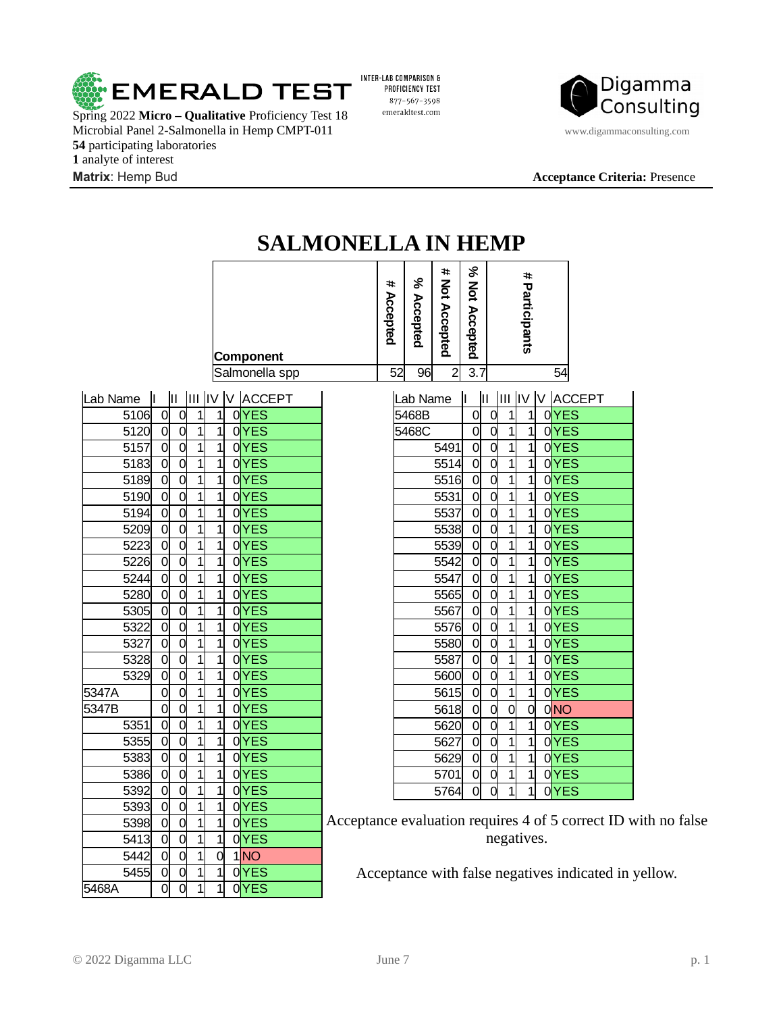

Spring 2022 **Micro – Qualitative** Proficiency Test 18 Microbial Panel 2-Salmonella in Hemp CMPT-011 WWW.digammaconsulting.com **54** participating laboratories **1** analyte of interest **Matrix**: Hemp Bud **Acceptance Criteria:** Presence

INTER-LAB COMPARISON & PROFICIENCY TEST 877-567-3598 emeraldtest.com



## **SALMONELLA IN HEMP**

| Component      | #<br>ccepted | &<br>Accepted | #<br>Not<br>Accepted | శ<br>Šά<br>Accepted | #<br>נם<br>≃.<br><u>ດ</u> .<br><u>pa</u> |  |
|----------------|--------------|---------------|----------------------|---------------------|------------------------------------------|--|
| Salmonella spp | 52           | 96            |                      | З.                  |                                          |  |

| Lab Name | Iı             | ΙI             | Ш              | IV             | I۷ | <b>ACCEPT</b>             |
|----------|----------------|----------------|----------------|----------------|----|---------------------------|
| 5106     | 0              | 0              | $\overline{1}$ | $\overline{1}$ | 0  | <b>YES</b>                |
| 5120     | O              | 0              | $\overline{1}$ | $\overline{1}$ |    | $0$ YES                   |
| 5157     | 0              | 0              | $\overline{1}$ | $\overline{1}$ |    | $0$ YES                   |
| 5183     | 0              | 0              | $\overline{1}$ | $\overline{1}$ |    | $0$ YES                   |
| 5189     | O              | 0              | $\overline{1}$ | $\overline{1}$ |    | $0$ YES                   |
| 5190     | 0              | $\overline{0}$ | $\overline{1}$ | $\overline{1}$ |    | $0$ YES                   |
| 5194     | 0              | 0              | $\overline{1}$ | $\overline{1}$ |    | $0$ YES                   |
| 5209     | 0              | 0              | $\overline{1}$ | $\overline{1}$ |    | $0$ YES                   |
| 5223     | 0              | 0              | $\overline{1}$ | $\overline{1}$ |    | $0$ YES                   |
| 5226     | 0              | $\overline{0}$ | $\overline{1}$ | $\overline{1}$ |    | $0$ YES                   |
| 5244     | O              | $\overline{0}$ | $\overline{1}$ | $\overline{1}$ |    | $0$ YES                   |
| 5280     | 0              | 0              | $\overline{1}$ | $\overline{1}$ |    | $0$ YES                   |
| 5305     | $\overline{0}$ | $\overline{0}$ | $\overline{1}$ | $\overline{1}$ |    | $0$ YES                   |
| 5322     | 0              | $\overline{0}$ | $\overline{1}$ | $\overline{1}$ |    | $0$ YES                   |
| 5327     | $\overline{0}$ | 0              | $\overline{1}$ | $\overline{1}$ |    | $0$ YES                   |
| 5328     | 0              | $\overline{0}$ | $\overline{1}$ | $\overline{1}$ |    | $0$ YES                   |
| 5329     | 0              | $\overline{0}$ | $\mathbf{1}$   | $\overline{1}$ |    | $0$ YES                   |
| 5347A    | $\overline{0}$ | $\overline{0}$ | $\overline{1}$ | $\overline{1}$ |    | $0$ YES                   |
| 5347B    | $\overline{0}$ | $\overline{0}$ | $\overline{1}$ | $\overline{1}$ |    | $0$ YES                   |
| 5351     | 0              | 0              | $\overline{1}$ | $\overline{1}$ |    | $0$ YES                   |
| 5355     | 0              | O              | $\overline{1}$ | $\overline{1}$ |    | $0$ YES                   |
| 5383     | 0              | $\overline{0}$ | $\overline{1}$ | $\overline{1}$ |    | $0$ YES                   |
| 5386     | $\overline{0}$ | 0              | $\overline{1}$ | $\overline{1}$ |    | $0$ YES                   |
| 5392     | 0              | 0              | $\overline{1}$ | $\overline{1}$ | O  | <b>YES</b>                |
| 5393     | 0              | 0              | $\overline{1}$ | $\overline{1}$ |    | $0$ YES                   |
| 5398     | 0              | 0              | $\overline{1}$ | $\overline{1}$ |    | $0$ YES<br>$\overline{1}$ |
| 5413     | 0              | 0              | $\overline{1}$ | $\overline{1}$ |    | 0YES                      |
| 5442     | 0              | 0              | $\overline{1}$ | 0              |    | 1NO                       |
| 5455     | 0              | 0              | $\overline{1}$ | $\overline{1}$ |    | 0YES                      |
| 5468A    | $\overline{0}$ | 0              | $\overline{1}$ | $\overline{1}$ |    | $0$ YES                   |

| Lab Name | II | 11             | ШL             | IV V           |  | <b>ACCEPT</b> |  |  |
|----------|----|----------------|----------------|----------------|--|---------------|--|--|
| 5468B    | 0  | 0              | 1              | 1              |  | $0$ YES       |  |  |
| 5468C    | 0  | 0              | 1              | $\overline{1}$ |  | $0$ YES       |  |  |
| 5491     | 0  | 0              | 1              | 1              |  | $0$ YES       |  |  |
| 5514     | 0  | 0              | $\mathbf{1}$   | $\mathbf{1}$   |  | $0$ YES       |  |  |
| 5516     | O  | 0              | 1              | $\mathbf{1}$   |  | $0$ YES       |  |  |
| 5531     | 0  | 0              | $\mathbf{1}$   | $\mathbf{1}$   |  | $0$ YES       |  |  |
| 5537     | 0  | 0              | 1              | $\overline{1}$ |  | $0$ YES       |  |  |
| 5538     | 0  | 0              | $\overline{1}$ | $\overline{1}$ |  | $0$ YES       |  |  |
| 5539     | 0  | $\overline{0}$ | 1              | $\overline{1}$ |  | $0$ YES       |  |  |
| 5542     | 0  | 0              | $\overline{1}$ | $\overline{1}$ |  | $0$ YES       |  |  |
| 5547     | 0  | 0              | $\mathbf{1}$   | $\mathbf{1}$   |  | $0$ YES       |  |  |
| 5565     | 0  | 0              | $\mathbf{1}$   | $\overline{1}$ |  | $0$ YES       |  |  |
| 5567     | 0  | 0              | 1              | $\overline{1}$ |  | $0$ YES       |  |  |
| 5576     | 0  | 0              | $\mathbf{1}$   | $\mathbf{1}$   |  | $0$ YES       |  |  |
| 5580     | 0  | 0              | $\mathbf{1}$   | $\overline{1}$ |  | $0$ YES       |  |  |
| 5587     | 0  | 0              | 1              | $\overline{1}$ |  | $0$ YES       |  |  |
| 5600     | O  | 0              | $\mathbf{1}$   | $\mathbf{1}$   |  | $0$ YES       |  |  |
| 5615     | O  | 0              | $\overline{1}$ | $\overline{1}$ |  | $0$ YES       |  |  |
| 5618     | 0  | 0              | 0              | 0              |  | 0 NO          |  |  |
| 5620     | 0  | 0              | $\overline{1}$ | $\overline{1}$ |  | $0$ YES       |  |  |
| 5627     | 0  | 0              | $\mathbf{1}$   | $\overline{1}$ |  | $0$ YES       |  |  |
| 5629     | 0  | 0              | $\overline{1}$ | $\overline{1}$ |  | $0$ YES       |  |  |
| 5701     | 0  | 0              | 1              | $\mathbf{1}$   |  | $0$ YES       |  |  |
| 5764     | 0  | O              | $\overline{1}$ | $\overline{1}$ |  | $0$ YES       |  |  |

Acceptance evaluation requires 4 of 5 correct ID with no false negatives.

Acceptance with false negatives indicated in yellow.